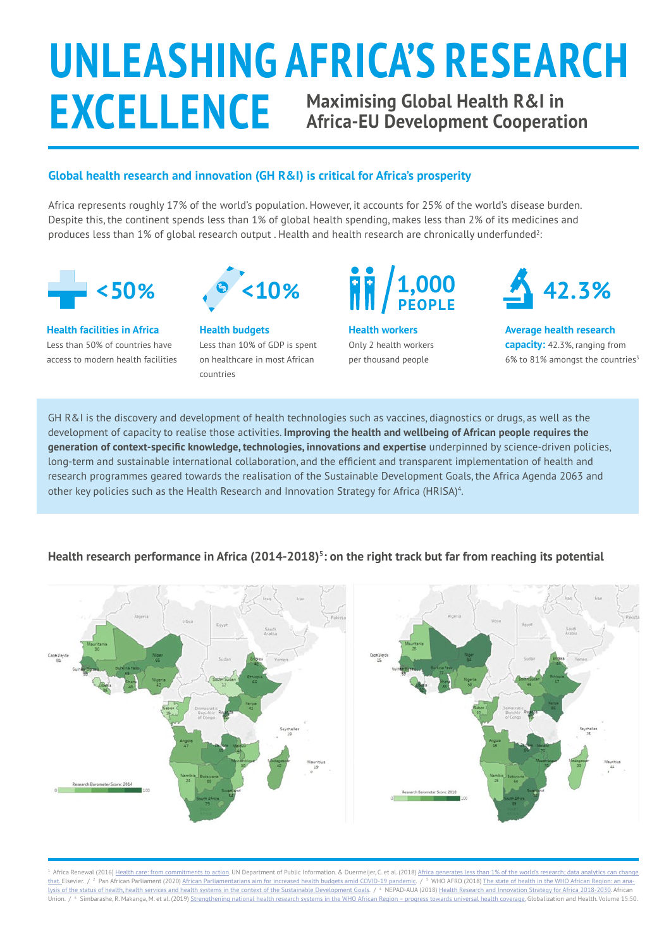# **UNLEASHING AFRICA'S RESEARCH EXCELLENCE Maximising Global Health R&I in Africa-EU Development Cooperation**

#### **Global health research and innovation (GH R&I) is critical for Africa's prosperity**

Africa represents roughly 17% of the world's population. However, it accounts for 25% of the world's disease burden. Despite this, the continent spends less than 1% of global health spending, makes less than 2% of its medicines and produces less than 1% of global research output . Health and health research are chronically underfunded $^{\rm 2}$ 



**Health facilities in Africa**  Less than 50% of countries have access to modern health facilities



**Health budgets**  Less than 10% of GDP is spent on healthcare in most African countries



**Health workers**  Only 2 health workers per thousand people



**Average health research capacity:** 42.3%, ranging from 6% to 81% amongst the countries $3$ 

GH R&I is the discovery and development of health technologies such as vaccines, diagnostics or drugs, as well as the development of capacity to realise those activities. **Improving the health and wellbeing of African people requires the generation of context-specific knowledge, technologies, innovations and expertise** underpinned by science-driven policies, long-term and sustainable international collaboration, and the efficient and transparent implementation of health and research programmes geared towards the realisation of the Sustainable Development Goals, the Africa Agenda 2063 and other key policies such as the Health Research and Innovation Strategy for Africa (HRISA)<sup>4</sup>.

#### Health research performance in Africa (2014-2018)<sup>5</sup>: on the right track but far from reaching its potential

<sup>1</sup> Africa Renewal (2016)<Health care: from commitments to action>. UN Department of Public Information. & Duermeijer, C. et al. (2018) Africa g [that. E](http://Africa generates less than 1% of the world’s research; data analytics can change that. )lsevier. / <sup>2</sup> Pan African Parliament (2020) [African Parliamentarians aim for increased health budgets amid COVID-19 pandemic](http://African Parliamentarians aim for increased health budgets amid COVID-19 pandemic). / <sup>3</sup> WHO AFRO (2018) [The state of health in the WHO African Region: an ana](The state of health in the WHO African Region: an analysis of the status of health, health services and health systems in the context of the Sustainable Development Goals)[lysis of the status of health, health services and health systems in the context of the Sustainable Development Goals.](The state of health in the WHO African Region: an analysis of the status of health, health services and health systems in the context of the Sustainable Development Goals) / <sup>4</sup> NEPAD-AUA (2018) [Health Research and Innovation Strategy for Africa 2018-2030](http://Health Research and Innovation Strategy for Africa 2018-2030). African Union. / <sup>5</sup> Simbarashe, R. Makanga, M. et al. (2019) [Strengthening national health research systems in the WHO African Region – progress towards universal health coverage.](https://globalizationandhealth.biomedcentral.com/articles/10.1186/s12992-019-0492-8#Tab1) Globalization and Health. Volume 15:50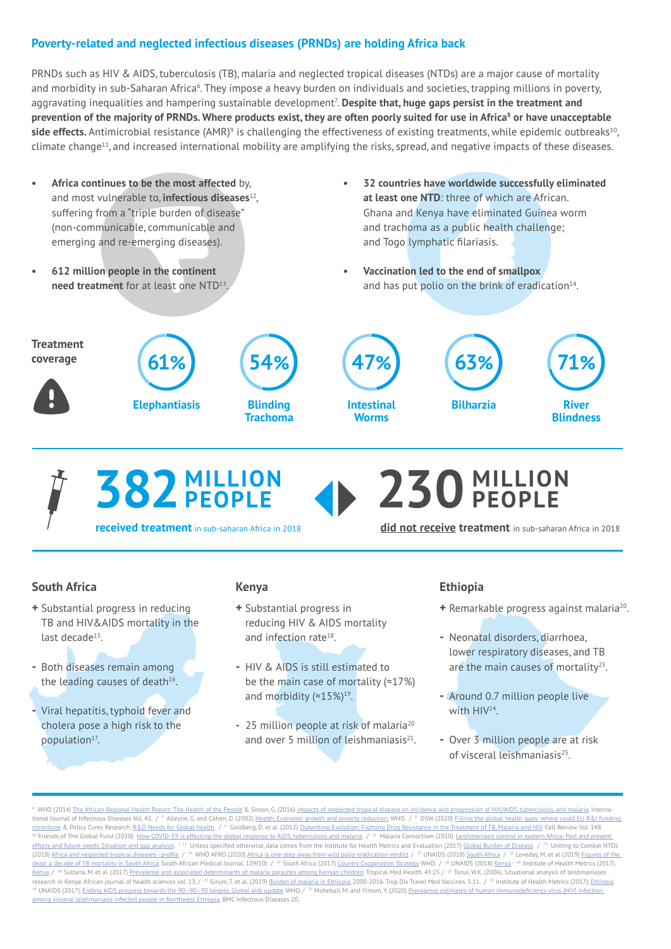#### **Poverty-related and neglected infectious diseases (PRNDs) are holding Africa back**

PRNDs such as HIV & AIDS, tuberculosis (TB), malaria and neglected tropical diseases (NTDs) are a major cause of mortality and morbidity in sub-Saharan Africa<sup>6</sup>. They impose a heavy burden on individuals and societies, trapping millions in poverty, aggravating inequalities and hampering sustainable development<sup>7</sup>. **Despite that, huge gaps persist in the treatment and prevention of the majority of PRNDs. Where products exist, they are often poorly suited for use in Africa8 or have unacceptable side effects.** Antimicrobial resistance (AMR)<sup>9</sup> is challenging the effectiveness of existing treatments, while epidemic outbreaks<sup>10</sup>, climate change11, and increased international mobility are amplifying the risks, spread, and negative impacts of these diseases.

- **• Africa continues to be the most affected** by, and most vulnerable to, **infectious diseases**12, suffering from a "triple burden of disease" (non-communicable, communicable and emerging and re-emerging diseases).
- **• 612 million people in the continent need treatment** for at least one NTD13.
- **• 32 countries have worldwide successfully eliminated at least one NTD**: three of which are African. Ghana and Kenya have eliminated Guinea worm and trachoma as a public health challenge; and Togo lymphatic filariasis.
- **• Vaccination led to the end of smallpox** and has put polio on the brink of eradication<sup>14</sup>.



**382 MILLION PEOPLE**

**received treatment** in sub-saharan Africa in 2018

**did not receive treatment** in sub-saharan Africa in 2018

#### **South Africa**

- **+** Substantial progress in reducing TB and HIV&AIDS mortality in the last decade<sup>15</sup>.
- **-** Both diseases remain among the leading causes of death<sup>16</sup>.
- **-** Viral hepatitis, typhoid fever and cholera pose a high risk to the population<sup>17</sup>.

#### **Kenya**

- **+** Substantial progress in reducing HIV & AIDS mortality and infection rate<sup>18</sup>.
- **-** HIV & AIDS is still estimated to be the main case of mortality (≈17%) and morbidity (≈15%)19.
- **-** 25 million people at risk of malaria20 and over 5 million of leishmaniasis $21$ .

#### **Ethiopia**

**230 MILLION PEOPLE**

- **+** Remarkable progress against malaria20.
- **-** Neonatal disorders, diarrhoea, lower respiratory diseases, and TB are the main causes of mortality $23$ .
- **-** Around 0.7 million people live with HIV24.
- **-** Over 3 million people are at risk of visceral leishmaniasis25.

<sup>6</sup> WHO (2014) <The African Regional Health Report: The Health of the People> & Simon, G. (2016) [Impacts of neglected tropical disease on incidence and progression of HIV/AIDS, tuberculosis, and malaria](http://Impacts of neglected tropical disease on incidence and progression of HIV/AIDS,     tuberculosis, and malaria). Interna-tional Journal of Infectious Diseases Vol. 42. / <sup>7</sup> Alleyne, G. and Cohen, D. (2002) [Health, Economic growth and poverty reduction](http://Health, Economic growth and poverty reduction). WHO. / <sup>8</sup> DSW (2020) Eilling the global health gaps: where could EU R&I funding. [contribute](Filling the global health gaps: where could EU R&I funding contribute) & Policy Cures Research. [R&D Needs for Global health](http://R&D Needs for Global health). / <sup>9</sup> Goldberg, D. et al. (2012) <u>Outwitting Evolution: Fighting Drug Resistance in the Treatment of TB, Malaria and HIV. Cell Review. Vol. 148.</u> <sup>10</sup> Friends of The Global Fund (2020) [How COVID-19 is affecting the global response to AIDS, tuberculosis and malaria](http://How COVID-19 is affecting the global response to AIDS, tuberculosis and malaria). / <sup>11</sup> Malaria Consortium (2010). Leishmaniasis control in eastern Africa: Past and present [efforts and future needs. Situation and gap analysis.](Leishmaniasis control in eastern Africa: Past and present efforts and future needs. Situation and gap analysis) <sup>12</sup> Unless specified otherwise, data comes from the Institute for Health Metrics and Evaluation (2017) [Global Burden of Disease](http://Global Burden of Disease). / <sup>13</sup> Uniting to Combat NTDs (2018) [Africa and neglected tropical diseases - profile](http://Africa and neglected tropical diseases - profile) / 14 WHO AFRO (2020) [Africa is one-step away from wild polio eradication verdict](http://Africa is one-step away from wild polio eradication verdict) / 15 UNAIDS (2018) [South Africa](http://South Africa) / 16 Loveday, M. et al (2019) [Figures of the](Figures of the dead: a decade of TB mortality in South Africa)  [dead: a decade of TB mortality in South Africa.](Figures of the dead: a decade of TB mortality in South Africa) South African Medical Journal. 109(10) / <sup>17</sup> South Africa (2017) [Country Cooperation Strategy](http://Country Cooperation Strategy). WHO. / <sup>18</sup> UNAIDS (2018) [Kenya](http://Kenya) <sup>/ 19</sup> Institute of Health Metrics (2017). [Kenya](http://Kenya). / <sup>20</sup> Sultana, M. et al. (2017) [Prevalence and associated determinants of malaria parasites among Kenyan children.](http://Prevalence and associated determinants of malaria parasites among Kenyan children) Tropical Med Health. 45:25 / <sup>21</sup> Tonui, W.K. (2006). Situational analysis of leishmania research in Kenya. African journal of health sciences vol. 13. / <sup>22</sup> Girum, T. et al. (2019) [Burden of malaria in Ethiopia,](http://Burden of malaria in Ethiopia) 2000-2016. Trop Dis Travel Med Vaccines. 5:11. / <sup>23</sup> Institute of Health Metrics (2017). Ethiopi <sup>24</sup> UNAIDS (2017). <u>Ending AIDS progress towards the 90–90–90 targets. Global aids update.</u> WHO. / <sup>25</sup> Mohebali, M. and Yimam, Y. (2020) <u>Prevalence estimates of human immunodeficiency virus (HIV) infection</u><br>among viscer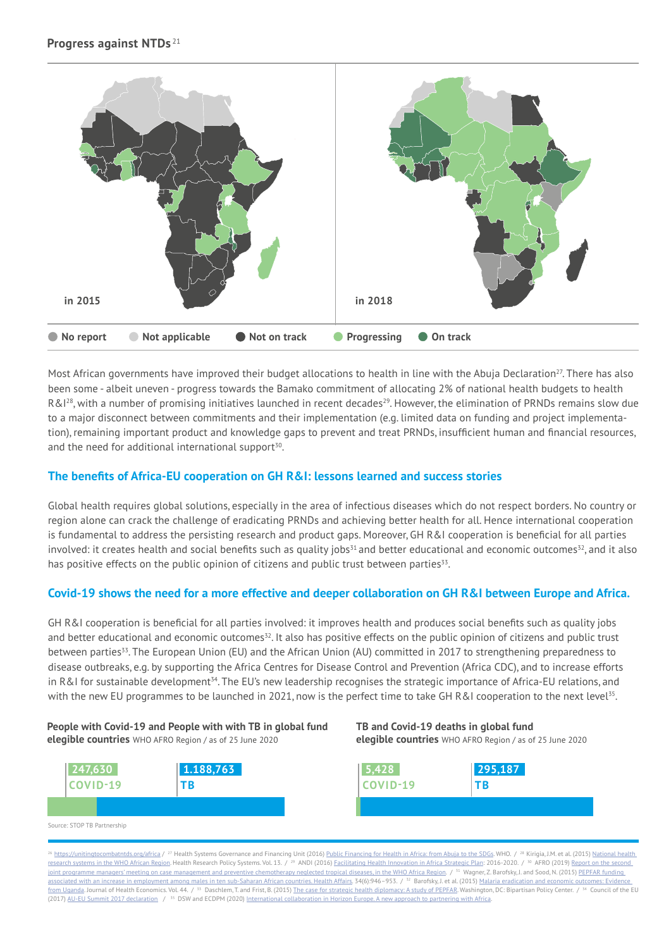

Most African governments have improved their budget allocations to health in line with the Abuja Declaration<sup>27</sup>. There has also been some - albeit uneven - progress towards the Bamako commitment of allocating 2% of national health budgets to health R&<sup>128</sup>, with a number of promising initiatives launched in recent decades<sup>29</sup>. However, the elimination of PRNDs remains slow due to a major disconnect between commitments and their implementation (e.g. limited data on funding and project implementation), remaining important product and knowledge gaps to prevent and treat PRNDs, insufficient human and financial resources, and the need for additional international support<sup>30</sup>.

#### **The benefits of Africa-EU cooperation on GH R&I: lessons learned and success stories**

Global health requires global solutions, especially in the area of infectious diseases which do not respect borders. No country or region alone can crack the challenge of eradicating PRNDs and achieving better health for all. Hence international cooperation is fundamental to address the persisting research and product gaps. Moreover, GH R&I cooperation is beneficial for all parties involved: it creates health and social benefits such as quality jobs<sup>31</sup> and better educational and economic outcomes<sup>32</sup>, and it also has positive effects on the public opinion of citizens and public trust between parties<sup>33</sup>.

#### **Covid-19 shows the need for a more effective and deeper collaboration on GH R&I between Europe and Africa.**

GH R&I cooperation is beneficial for all parties involved: it improves health and produces social benefits such as quality jobs and better educational and economic outcomes<sup>32</sup>. It also has positive effects on the public opinion of citizens and public trust between parties<sup>33</sup>. The European Union (EU) and the African Union (AU) committed in 2017 to strengthening preparedness to disease outbreaks, e.g. by supporting the Africa Centres for Disease Control and Prevention (Africa CDC), and to increase efforts in R&I for sustainable development<sup>34</sup>. The EU's new leadership recognises the strategic importance of Africa-EU relations, and with the new EU programmes to be launched in 2021, now is the perfect time to take GH R&I cooperation to the next level<sup>35</sup>.

#### **People with Covid-19 and People with with TB in global fund elegible countries** WHO AFRO Region / as of 25 June 2020



Source: STOP TB Partnership

**TB and Covid-19 deaths in global fund elegible countries** WHO AFRO Region / as of 25 June 2020

| 5.428    | 295,187   |
|----------|-----------|
| COVID-19 | <b>TR</b> |
|          |           |

<sup>26</sup> [https://unitingtocombatntds.org/africa](https://unitingtocombatntds.org/africa/ ) /<sup>27</sup> Health Systems Governance and Financing Unit (2016) [Public Financing for Health in Africa: from Abuja to the SDGs.](Public Financing for Health in Africa: from Abuja to the SDGs) WHO. /<sup>28</sup> Kirigia, J.M. et al. (2015) National health. [research systems in the WHO African Region](http://National health research systems in the WHO African Region). Health Research Policy Systems. Vol. 13. / <sup>29</sup> ANDI (2016) [Facilitating Health Innovation in Africa Strategic Plan:](http://Facilitating Health Innovation in Africa Strategic Plan) 2016-2020. / <sup>30</sup> AFRO (2019) Report on the second [joint programme managers' meeting on case management and preventive chemotherapy neglected tropical diseases, in the WHO Africa Region.](http://Report on the second joint programme managers’ meeting on case management and preventive chemotherapy neglected tropical diseases, in the WHO Africa Region) / 31 Wagner, Z. Barofsky, J. and Sood, N. (2015) PEPFAR funding. [associated with an increase in employment among males in ten sub-Saharan African countries. Health Affairs](http://PEPFAR funding associated with an increase in employment among males in ten sub-Saharan African countries. Health Affairs). 34(6):946–953. / <sup>32</sup> Barofsky, J. et al. (2015) <u>Malaria eradication and economic outcomes: Evidence</u><br><u>from Ugand</u> (2017) [AU-EU Summit 2017 declaration](https://www.consilium.europa.eu/media/31991/33454-pr-final_declaration_au_eu_summit.pdf) / 35 DSW and ECDPM (2020) [International collaboration in Horizon Europe. A new approach to partnering with Africa.](http://International collaboration in Horizon Europe. A new approach to partnering with Africa)